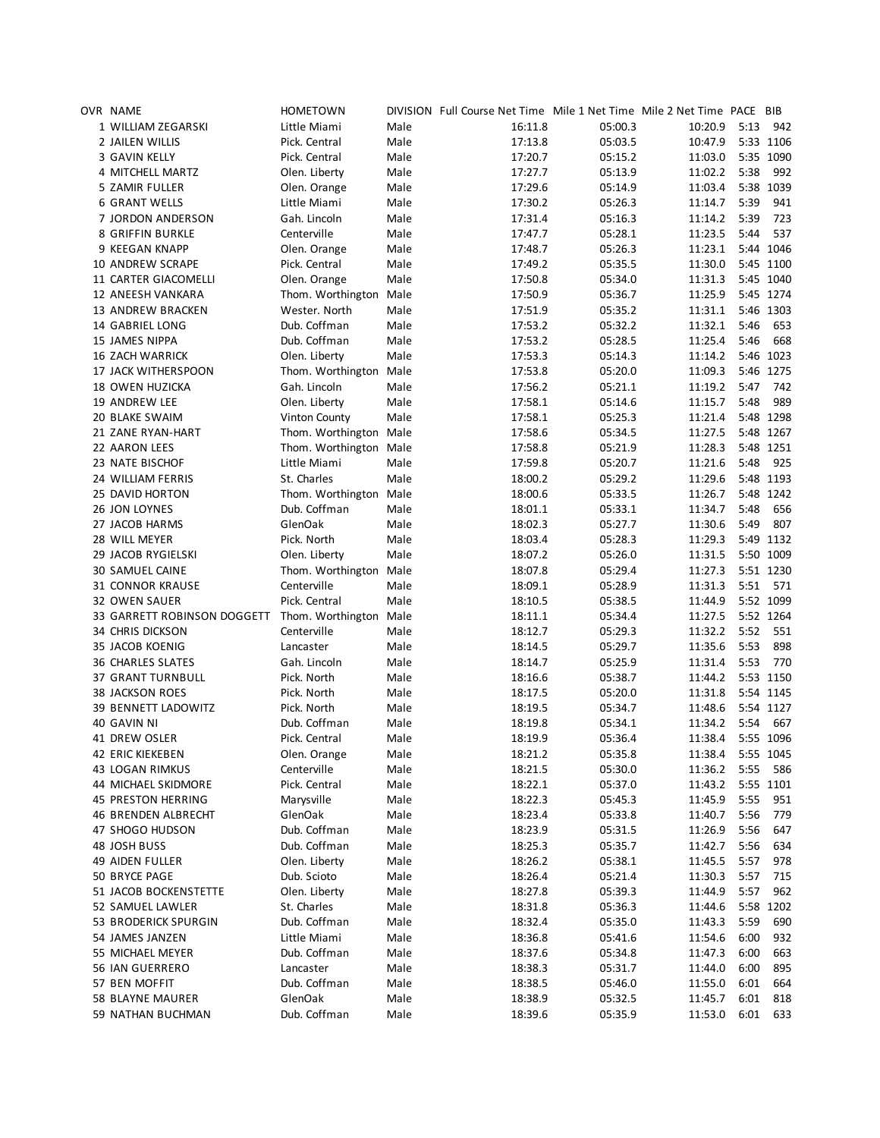| OVR NAME                    | <b>HOMETOWN</b>        |      | DIVISION Full Course Net Time Mile 1 Net Time Mile 2 Net Time PACE BIB |         |         |      |           |
|-----------------------------|------------------------|------|------------------------------------------------------------------------|---------|---------|------|-----------|
| 1 WILLIAM ZEGARSKI          | Little Miami           | Male | 16:11.8                                                                | 05:00.3 | 10:20.9 | 5:13 | 942       |
| 2 JAILEN WILLIS             | Pick. Central          | Male | 17:13.8                                                                | 05:03.5 | 10:47.9 |      | 5:33 1106 |
| 3 GAVIN KELLY               | Pick. Central          | Male | 17:20.7                                                                | 05:15.2 | 11:03.0 |      | 5:35 1090 |
| 4 MITCHELL MARTZ            | Olen. Liberty          | Male | 17:27.7                                                                | 05:13.9 | 11:02.2 | 5:38 | 992       |
| 5 ZAMIR FULLER              | Olen. Orange           | Male | 17:29.6                                                                | 05:14.9 | 11:03.4 |      | 5:38 1039 |
| <b>6 GRANT WELLS</b>        | Little Miami           | Male | 17:30.2                                                                | 05:26.3 | 11:14.7 | 5:39 | 941       |
| 7 JORDON ANDERSON           | Gah. Lincoln           | Male | 17:31.4                                                                | 05:16.3 | 11:14.2 | 5:39 | 723       |
| 8 GRIFFIN BURKLE            | Centerville            | Male | 17:47.7                                                                | 05:28.1 | 11:23.5 | 5:44 | 537       |
| 9 KEEGAN KNAPP              | Olen. Orange           | Male | 17:48.7                                                                | 05:26.3 | 11:23.1 |      | 5:44 1046 |
| 10 ANDREW SCRAPE            | Pick. Central          | Male | 17:49.2                                                                | 05:35.5 | 11:30.0 |      | 5:45 1100 |
| 11 CARTER GIACOMELLI        |                        |      |                                                                        |         |         |      |           |
|                             | Olen. Orange           | Male | 17:50.8                                                                | 05:34.0 | 11:31.3 |      | 5:45 1040 |
| 12 ANEESH VANKARA           | Thom. Worthington Male |      | 17:50.9                                                                | 05:36.7 | 11:25.9 |      | 5:45 1274 |
| 13 ANDREW BRACKEN           | Wester. North          | Male | 17:51.9                                                                | 05:35.2 | 11:31.1 |      | 5:46 1303 |
| 14 GABRIEL LONG             | Dub. Coffman           | Male | 17:53.2                                                                | 05:32.2 | 11:32.1 | 5:46 | 653       |
| 15 JAMES NIPPA              | Dub. Coffman           | Male | 17:53.2                                                                | 05:28.5 | 11:25.4 | 5:46 | 668       |
| <b>16 ZACH WARRICK</b>      | Olen. Liberty          | Male | 17:53.3                                                                | 05:14.3 | 11:14.2 |      | 5:46 1023 |
| 17 JACK WITHERSPOON         | Thom. Worthington Male |      | 17:53.8                                                                | 05:20.0 | 11:09.3 |      | 5:46 1275 |
| 18 OWEN HUZICKA             | Gah. Lincoln           | Male | 17:56.2                                                                | 05:21.1 | 11:19.2 | 5:47 | 742       |
| 19 ANDREW LEE               | Olen. Liberty          | Male | 17:58.1                                                                | 05:14.6 | 11:15.7 | 5:48 | 989       |
| 20 BLAKE SWAIM              | <b>Vinton County</b>   | Male | 17:58.1                                                                | 05:25.3 | 11:21.4 |      | 5:48 1298 |
| 21 ZANE RYAN-HART           | Thom. Worthington Male |      | 17:58.6                                                                | 05:34.5 | 11:27.5 |      | 5:48 1267 |
| 22 AARON LEES               | Thom. Worthington Male |      | 17:58.8                                                                | 05:21.9 | 11:28.3 |      | 5:48 1251 |
| 23 NATE BISCHOF             | Little Miami           | Male | 17:59.8                                                                | 05:20.7 | 11:21.6 | 5:48 | 925       |
| 24 WILLIAM FERRIS           | St. Charles            | Male | 18:00.2                                                                | 05:29.2 | 11:29.6 |      | 5:48 1193 |
| 25 DAVID HORTON             | Thom. Worthington Male |      | 18:00.6                                                                | 05:33.5 | 11:26.7 |      | 5:48 1242 |
| 26 JON LOYNES               | Dub. Coffman           | Male | 18:01.1                                                                | 05:33.1 | 11:34.7 | 5:48 | 656       |
| 27 JACOB HARMS              | GlenOak                | Male | 18:02.3                                                                | 05:27.7 | 11:30.6 | 5:49 | 807       |
| 28 WILL MEYER               | Pick. North            | Male | 18:03.4                                                                | 05:28.3 | 11:29.3 |      | 5:49 1132 |
| 29 JACOB RYGIELSKI          | Olen. Liberty          | Male | 18:07.2                                                                | 05:26.0 | 11:31.5 |      | 5:50 1009 |
| 30 SAMUEL CAINE             | Thom. Worthington Male |      | 18:07.8                                                                | 05:29.4 | 11:27.3 |      | 5:51 1230 |
| 31 CONNOR KRAUSE            | Centerville            | Male | 18:09.1                                                                | 05:28.9 | 11:31.3 | 5:51 | 571       |
| 32 OWEN SAUER               | Pick. Central          | Male | 18:10.5                                                                | 05:38.5 | 11:44.9 |      | 5:52 1099 |
| 33 GARRETT ROBINSON DOGGETT |                        |      |                                                                        |         | 11:27.5 |      | 5:52 1264 |
|                             | Thom. Worthington Male |      | 18:11.1                                                                | 05:34.4 |         |      |           |
| 34 CHRIS DICKSON            | Centerville            | Male | 18:12.7                                                                | 05:29.3 | 11:32.2 | 5:52 | 551       |
| 35 JACOB KOENIG             | Lancaster              | Male | 18:14.5                                                                | 05:29.7 | 11:35.6 | 5:53 | 898       |
| <b>36 CHARLES SLATES</b>    | Gah. Lincoln           | Male | 18:14.7                                                                | 05:25.9 | 11:31.4 | 5:53 | 770       |
| 37 GRANT TURNBULL           | Pick. North            | Male | 18:16.6                                                                | 05:38.7 | 11:44.2 |      | 5:53 1150 |
| <b>38 JACKSON ROES</b>      | Pick. North            | Male | 18:17.5                                                                | 05:20.0 | 11:31.8 |      | 5:54 1145 |
| 39 BENNETT LADOWITZ         | Pick. North            | Male | 18:19.5                                                                | 05:34.7 | 11:48.6 |      | 5:54 1127 |
| 40 GAVIN NI                 | Dub. Coffman           | Male | 18:19.8                                                                | 05:34.1 | 11:34.2 | 5:54 | 667       |
| <b>41 DREW OSLER</b>        | Pick. Central          | Male | 18:19.9                                                                | 05:36.4 | 11:38.4 |      | 5:55 1096 |
| 42 ERIC KIEKEBEN            | Olen. Orange           | Male | 18:21.2                                                                | 05:35.8 | 11:38.4 |      | 5:55 1045 |
| 43 LOGAN RIMKUS             | Centerville            | Male | 18:21.5                                                                | 05:30.0 | 11:36.2 | 5:55 | 586       |
| 44 MICHAEL SKIDMORE         | Pick. Central          | Male | 18:22.1                                                                | 05:37.0 | 11:43.2 |      | 5:55 1101 |
| <b>45 PRESTON HERRING</b>   | Marysville             | Male | 18:22.3                                                                | 05:45.3 | 11:45.9 | 5:55 | 951       |
| 46 BRENDEN ALBRECHT         | GlenOak                | Male | 18:23.4                                                                | 05:33.8 | 11:40.7 | 5:56 | 779       |
| 47 SHOGO HUDSON             | Dub. Coffman           | Male | 18:23.9                                                                | 05:31.5 | 11:26.9 | 5:56 | 647       |
| 48 JOSH BUSS                | Dub. Coffman           | Male | 18:25.3                                                                | 05:35.7 | 11:42.7 | 5:56 | 634       |
| 49 AIDEN FULLER             | Olen. Liberty          | Male | 18:26.2                                                                | 05:38.1 | 11:45.5 | 5:57 | 978       |
| 50 BRYCE PAGE               | Dub. Scioto            | Male | 18:26.4                                                                | 05:21.4 | 11:30.3 | 5:57 | 715       |
| 51 JACOB BOCKENSTETTE       | Olen. Liberty          | Male | 18:27.8                                                                | 05:39.3 | 11:44.9 | 5:57 | 962       |
| 52 SAMUEL LAWLER            | St. Charles            | Male | 18:31.8                                                                | 05:36.3 | 11:44.6 |      | 5:58 1202 |
| 53 BRODERICK SPURGIN        | Dub. Coffman           | Male | 18:32.4                                                                | 05:35.0 | 11:43.3 | 5:59 | 690       |
|                             | Little Miami           |      |                                                                        |         |         | 6:00 |           |
| 54 JAMES JANZEN             |                        | Male | 18:36.8                                                                | 05:41.6 | 11:54.6 |      | 932       |
| 55 MICHAEL MEYER            | Dub. Coffman           | Male | 18:37.6                                                                | 05:34.8 | 11:47.3 | 6:00 | 663       |
| 56 IAN GUERRERO             | Lancaster              | Male | 18:38.3                                                                | 05:31.7 | 11:44.0 | 6:00 | 895       |
| 57 BEN MOFFIT               | Dub. Coffman           | Male | 18:38.5                                                                | 05:46.0 | 11:55.0 | 6:01 | 664       |
| 58 BLAYNE MAURER            | GlenOak                | Male | 18:38.9                                                                | 05:32.5 | 11:45.7 | 6:01 | 818       |
| 59 NATHAN BUCHMAN           | Dub. Coffman           | Male | 18:39.6                                                                | 05:35.9 | 11:53.0 | 6:01 | 633       |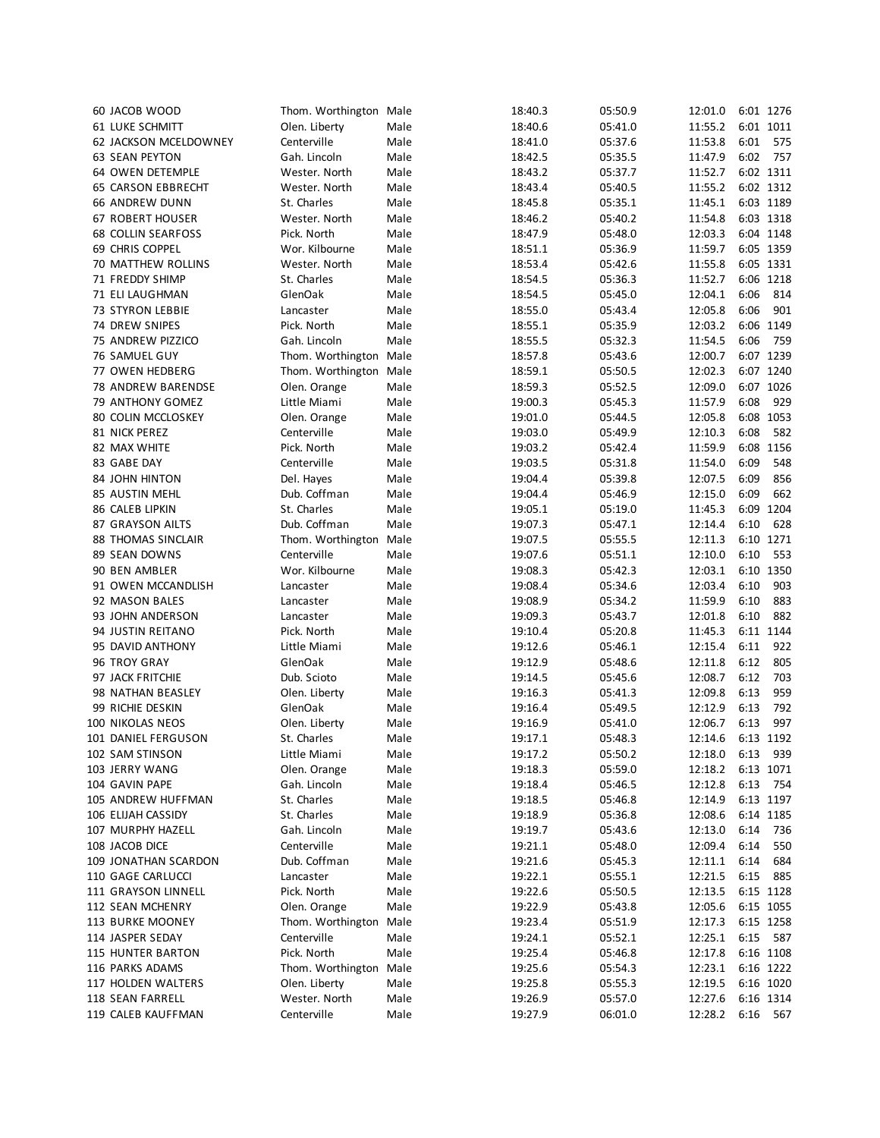| 60 JACOB WOOD                | Thom. Worthington Male |              | 18:40.3 | 05:50.9            | 12:01.0 |      | 6:01 1276 |
|------------------------------|------------------------|--------------|---------|--------------------|---------|------|-----------|
| 61 LUKE SCHMITT              | Olen. Liberty          | Male         | 18:40.6 | 05:41.0            | 11:55.2 |      | 6:01 1011 |
| <b>62 JACKSON MCELDOWNEY</b> | Centerville            | Male         | 18:41.0 | 05:37.6            | 11:53.8 | 6:01 | 575       |
| <b>63 SEAN PEYTON</b>        | Gah. Lincoln           | Male         | 18:42.5 | 05:35.5            | 11:47.9 | 6:02 | 757       |
| 64 OWEN DETEMPLE             | Wester. North          | Male         | 18:43.2 | 05:37.7            | 11:52.7 |      | 6:02 1311 |
| <b>65 CARSON EBBRECHT</b>    | Wester. North          | Male         | 18:43.4 | 05:40.5            | 11:55.2 |      | 6:02 1312 |
| 66 ANDREW DUNN               | St. Charles            | Male         | 18:45.8 | 05:35.1            | 11:45.1 |      | 6:03 1189 |
| <b>67 ROBERT HOUSER</b>      | Wester. North          | Male         | 18:46.2 | 05:40.2            | 11:54.8 |      | 6:03 1318 |
| <b>68 COLLIN SEARFOSS</b>    | Pick. North            | Male         | 18:47.9 | 05:48.0            | 12:03.3 |      | 6:04 1148 |
| 69 CHRIS COPPEL              | Wor. Kilbourne         | Male         | 18:51.1 | 05:36.9            | 11:59.7 |      | 6:05 1359 |
|                              |                        | Male         | 18:53.4 | 05:42.6            | 11:55.8 |      | 6:05 1331 |
| 70 MATTHEW ROLLINS           | Wester. North          |              |         |                    |         |      |           |
| 71 FREDDY SHIMP              | St. Charles            | Male         | 18:54.5 | 05:36.3            | 11:52.7 |      | 6:06 1218 |
| 71 ELI LAUGHMAN              | GlenOak                | Male         | 18:54.5 | 05:45.0            | 12:04.1 | 6:06 | 814       |
| <b>73 STYRON LEBBIE</b>      | Lancaster              | Male         | 18:55.0 | 05:43.4            | 12:05.8 | 6:06 | 901       |
| 74 DREW SNIPES               | Pick. North            | Male         | 18:55.1 | 05:35.9            | 12:03.2 |      | 6:06 1149 |
| 75 ANDREW PIZZICO            | Gah. Lincoln           | Male         | 18:55.5 | 05:32.3            | 11:54.5 | 6:06 | 759       |
| 76 SAMUEL GUY                | Thom. Worthington      | Male         | 18:57.8 | 05:43.6            | 12:00.7 |      | 6:07 1239 |
| 77 OWEN HEDBERG              | Thom. Worthington Male |              | 18:59.1 | 05:50.5            | 12:02.3 |      | 6:07 1240 |
| 78 ANDREW BARENDSE           | Olen. Orange           | Male         | 18:59.3 | 05:52.5            | 12:09.0 |      | 6:07 1026 |
| 79 ANTHONY GOMEZ             | Little Miami           | Male         | 19:00.3 | 05:45.3            | 11:57.9 | 6:08 | 929       |
| <b>80 COLIN MCCLOSKEY</b>    | Olen. Orange           | Male         | 19:01.0 | 05:44.5            | 12:05.8 |      | 6:08 1053 |
| 81 NICK PEREZ                | Centerville            | Male         | 19:03.0 | 05:49.9            | 12:10.3 | 6:08 | 582       |
| 82 MAX WHITE                 | Pick. North            | Male         | 19:03.2 | 05:42.4            | 11:59.9 |      | 6:08 1156 |
| 83 GABE DAY                  | Centerville            | Male         | 19:03.5 | 05:31.8            | 11:54.0 | 6:09 | 548       |
| <b>84 JOHN HINTON</b>        | Del. Hayes             | Male         | 19:04.4 | 05:39.8            | 12:07.5 | 6:09 | 856       |
| 85 AUSTIN MEHL               | Dub. Coffman           | Male         | 19:04.4 | 05:46.9            | 12:15.0 | 6:09 | 662       |
| 86 CALEB LIPKIN              | St. Charles            | Male         | 19:05.1 | 05:19.0            | 11:45.3 |      | 6:09 1204 |
| 87 GRAYSON AILTS             | Dub. Coffman           | Male         | 19:07.3 | 05:47.1            | 12:14.4 | 6:10 | 628       |
| 88 THOMAS SINCLAIR           | Thom. Worthington      | Male         | 19:07.5 | 05:55.5            | 12:11.3 |      | 6:10 1271 |
| 89 SEAN DOWNS                | Centerville            | Male         | 19:07.6 | 05:51.1            | 12:10.0 | 6:10 | 553       |
| 90 BEN AMBLER                | Wor. Kilbourne         | Male         | 19:08.3 | 05:42.3            | 12:03.1 |      | 6:10 1350 |
| 91 OWEN MCCANDLISH           | Lancaster              | Male         | 19:08.4 | 05:34.6            | 12:03.4 | 6:10 | 903       |
|                              |                        |              |         |                    | 11:59.9 | 6:10 | 883       |
| 92 MASON BALES               | Lancaster              | Male<br>Male | 19:08.9 | 05:34.2<br>05:43.7 | 12:01.8 | 6:10 | 882       |
| 93 JOHN ANDERSON             | Lancaster              |              | 19:09.3 |                    |         |      |           |
| 94 JUSTIN REITANO            | Pick. North            | Male         | 19:10.4 | 05:20.8            | 11:45.3 |      | 6:11 1144 |
| 95 DAVID ANTHONY             | Little Miami           | Male         | 19:12.6 | 05:46.1            | 12:15.4 | 6:11 | 922       |
| 96 TROY GRAY                 | GlenOak                | Male         | 19:12.9 | 05:48.6            | 12:11.8 | 6:12 | 805       |
| 97 JACK FRITCHIE             | Dub. Scioto            | Male         | 19:14.5 | 05:45.6            | 12:08.7 | 6:12 | 703       |
| 98 NATHAN BEASLEY            | Olen. Liberty          | Male         | 19:16.3 | 05:41.3            | 12:09.8 | 6:13 | 959       |
| 99 RICHIE DESKIN             | GlenOak                | Male         | 19:16.4 | 05:49.5            | 12:12.9 | 6:13 | 792       |
| 100 NIKOLAS NEOS             | Olen. Liberty          | Male         | 19:16.9 | 05:41.0            | 12:06.7 | 6:13 | 997       |
| 101 DANIEL FERGUSON          | St. Charles            | Male         | 19:17.1 | 05:48.3            | 12:14.6 |      | 6:13 1192 |
| 102 SAM STINSON              | Little Miami           | Male         | 19:17.2 | 05:50.2            | 12:18.0 | 6:13 | 939       |
| 103 JERRY WANG               | Olen. Orange           | Male         | 19:18.3 | 05:59.0            | 12:18.2 |      | 6:13 1071 |
| 104 GAVIN PAPE               | Gah. Lincoln           | Male         | 19:18.4 | 05:46.5            | 12:12.8 | 6:13 | 754       |
| 105 ANDREW HUFFMAN           | St. Charles            | Male         | 19:18.5 | 05:46.8            | 12:14.9 |      | 6:13 1197 |
| 106 ELIJAH CASSIDY           | St. Charles            | Male         | 19:18.9 | 05:36.8            | 12:08.6 |      | 6:14 1185 |
| 107 MURPHY HAZELL            | Gah. Lincoln           | Male         | 19:19.7 | 05:43.6            | 12:13.0 | 6:14 | 736       |
| 108 JACOB DICE               | Centerville            | Male         | 19:21.1 | 05:48.0            | 12:09.4 | 6:14 | 550       |
| 109 JONATHAN SCARDON         | Dub. Coffman           | Male         | 19:21.6 | 05:45.3            | 12:11.1 | 6:14 | 684       |
| 110 GAGE CARLUCCI            | Lancaster              | Male         | 19:22.1 | 05:55.1            | 12:21.5 | 6:15 | 885       |
| 111 GRAYSON LINNELL          | Pick. North            | Male         | 19:22.6 | 05:50.5            | 12:13.5 |      | 6:15 1128 |
| 112 SEAN MCHENRY             | Olen. Orange           | Male         | 19:22.9 | 05:43.8            | 12:05.6 |      | 6:15 1055 |
|                              | Thom. Worthington      |              |         |                    |         |      | 6:15 1258 |
| 113 BURKE MOONEY             |                        | Male         | 19:23.4 | 05:51.9            | 12:17.3 |      |           |
| 114 JASPER SEDAY             | Centerville            | Male         | 19:24.1 | 05:52.1            | 12:25.1 | 6:15 | 587       |
| <b>115 HUNTER BARTON</b>     | Pick. North            | Male         | 19:25.4 | 05:46.8            | 12:17.8 |      | 6:16 1108 |
| 116 PARKS ADAMS              | Thom. Worthington      | Male         | 19:25.6 | 05:54.3            | 12:23.1 |      | 6:16 1222 |
| 117 HOLDEN WALTERS           | Olen. Liberty          | Male         | 19:25.8 | 05:55.3            | 12:19.5 |      | 6:16 1020 |
| 118 SEAN FARRELL             | Wester. North          | Male         | 19:26.9 | 05:57.0            | 12:27.6 |      | 6:16 1314 |
| 119 CALEB KAUFFMAN           | Centerville            | Male         | 19:27.9 | 06:01.0            | 12:28.2 | 6:16 | 567       |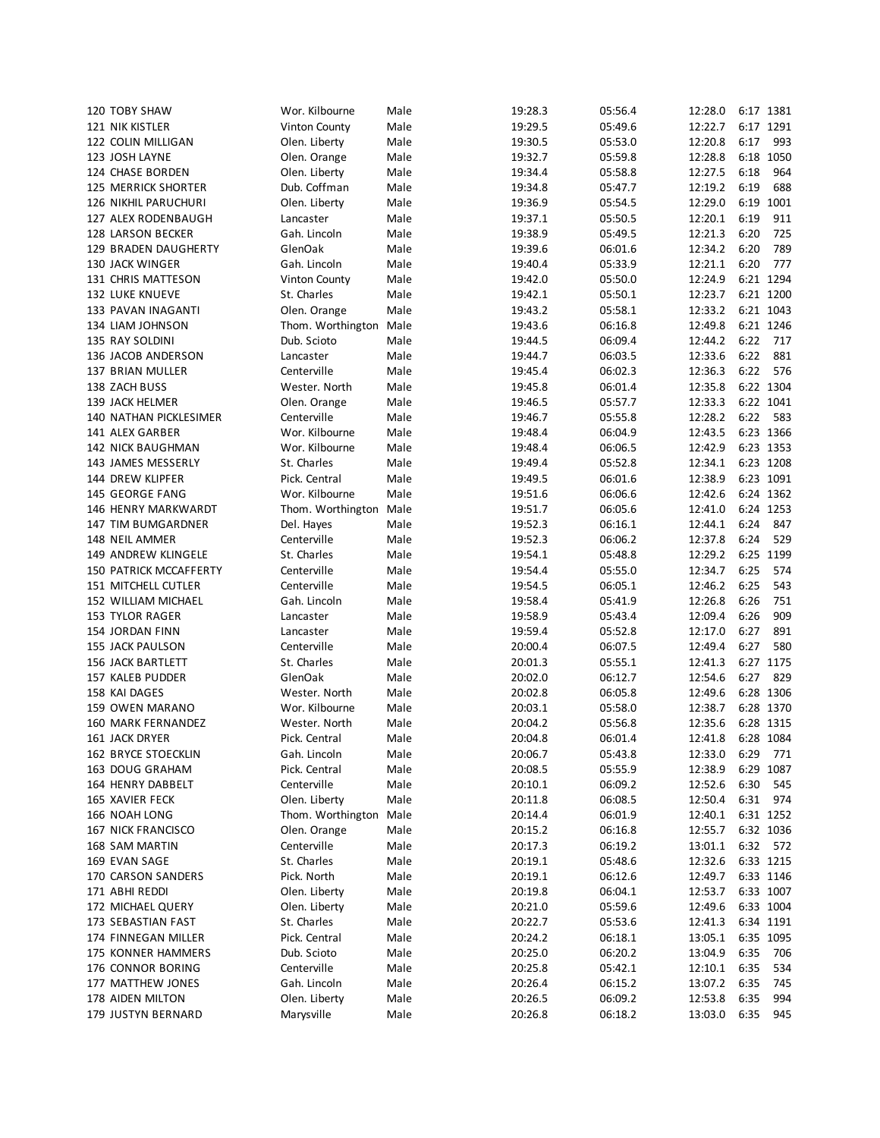| 120 TOBY SHAW                 | Wor. Kilbourne         | Male | 19:28.3 | 05:56.4            | 12:28.0 |           | 6:17 1381 |
|-------------------------------|------------------------|------|---------|--------------------|---------|-----------|-----------|
| 121 NIK KISTLER               | Vinton County          | Male | 19:29.5 | 05:49.6            | 12:22.7 |           | 6:17 1291 |
| 122 COLIN MILLIGAN            | Olen. Liberty          | Male | 19:30.5 | 05:53.0            | 12:20.8 | 6:17      | 993       |
| 123 JOSH LAYNE                | Olen. Orange           | Male | 19:32.7 | 05:59.8            | 12:28.8 | 6:18 1050 |           |
| 124 CHASE BORDEN              | Olen. Liberty          | Male | 19:34.4 | 05:58.8            | 12:27.5 | 6:18      | 964       |
| <b>125 MERRICK SHORTER</b>    | Dub. Coffman           | Male | 19:34.8 | 05:47.7            | 12:19.2 | 6:19      | 688       |
| 126 NIKHIL PARUCHURI          | Olen. Liberty          | Male | 19:36.9 | 05:54.5            | 12:29.0 |           | 6:19 1001 |
| 127 ALEX RODENBAUGH           | Lancaster              | Male | 19:37.1 | 05:50.5            | 12:20.1 | 6:19      | 911       |
| 128 LARSON BECKER             | Gah. Lincoln           | Male | 19:38.9 | 05:49.5            | 12:21.3 | 6:20      | 725       |
| <b>129 BRADEN DAUGHERTY</b>   | GlenOak                | Male |         |                    | 12:34.2 | 6:20      | 789       |
| <b>130 JACK WINGER</b>        |                        | Male | 19:39.6 | 06:01.6<br>05:33.9 | 12:21.1 | 6:20      | 777       |
|                               | Gah. Lincoln           |      | 19:40.4 |                    |         |           |           |
| 131 CHRIS MATTESON            | <b>Vinton County</b>   | Male | 19:42.0 | 05:50.0            | 12:24.9 |           | 6:21 1294 |
| <b>132 LUKE KNUEVE</b>        | St. Charles            | Male | 19:42.1 | 05:50.1            | 12:23.7 |           | 6:21 1200 |
| 133 PAVAN INAGANTI            | Olen. Orange           | Male | 19:43.2 | 05:58.1            | 12:33.2 | 6:21 1043 |           |
| 134 LIAM JOHNSON              | Thom. Worthington Male |      | 19:43.6 | 06:16.8            | 12:49.8 | 6:21 1246 |           |
| 135 RAY SOLDINI               | Dub. Scioto            | Male | 19:44.5 | 06:09.4            | 12:44.2 | 6:22      | 717       |
| 136 JACOB ANDERSON            | Lancaster              | Male | 19:44.7 | 06:03.5            | 12:33.6 | 6:22      | 881       |
| 137 BRIAN MULLER              | Centerville            | Male | 19:45.4 | 06:02.3            | 12:36.3 | 6:22      | 576       |
| 138 ZACH BUSS                 | Wester. North          | Male | 19:45.8 | 06:01.4            | 12:35.8 | 6:22 1304 |           |
| 139 JACK HELMER               | Olen. Orange           | Male | 19:46.5 | 05:57.7            | 12:33.3 |           | 6:22 1041 |
| <b>140 NATHAN PICKLESIMER</b> | Centerville            | Male | 19:46.7 | 05:55.8            | 12:28.2 | 6:22      | 583       |
| 141 ALEX GARBER               | Wor. Kilbourne         | Male | 19:48.4 | 06:04.9            | 12:43.5 |           | 6:23 1366 |
| <b>142 NICK BAUGHMAN</b>      | Wor. Kilbourne         | Male | 19:48.4 | 06:06.5            | 12:42.9 | 6:23 1353 |           |
| 143 JAMES MESSERLY            | St. Charles            | Male | 19:49.4 | 05:52.8            | 12:34.1 | 6:23 1208 |           |
| 144 DREW KLIPFER              | Pick. Central          | Male | 19:49.5 | 06:01.6            | 12:38.9 |           | 6:23 1091 |
| 145 GEORGE FANG               | Wor. Kilbourne         | Male | 19:51.6 | 06:06.6            | 12:42.6 |           | 6:24 1362 |
| 146 HENRY MARKWARDT           | Thom. Worthington      | Male | 19:51.7 | 06:05.6            | 12:41.0 | 6:24 1253 |           |
| 147 TIM BUMGARDNER            | Del. Hayes             | Male | 19:52.3 | 06:16.1            | 12:44.1 | 6:24      | 847       |
| 148 NEIL AMMER                | Centerville            | Male | 19:52.3 | 06:06.2            | 12:37.8 | 6:24      | 529       |
| 149 ANDREW KLINGELE           | St. Charles            | Male | 19:54.1 | 05:48.8            | 12:29.2 |           | 6:25 1199 |
| 150 PATRICK MCCAFFERTY        | Centerville            | Male | 19:54.4 | 05:55.0            | 12:34.7 | 6:25      | 574       |
| 151 MITCHELL CUTLER           | Centerville            | Male | 19:54.5 | 06:05.1            | 12:46.2 | 6:25      | 543       |
| 152 WILLIAM MICHAEL           | Gah. Lincoln           | Male | 19:58.4 | 05:41.9            | 12:26.8 | 6:26      | 751       |
| 153 TYLOR RAGER               | Lancaster              | Male | 19:58.9 | 05:43.4            | 12:09.4 | 6:26      | 909       |
|                               |                        |      |         |                    |         |           | 891       |
| 154 JORDAN FINN               | Lancaster              | Male | 19:59.4 | 05:52.8            | 12:17.0 | 6:27      |           |
| 155 JACK PAULSON              | Centerville            | Male | 20:00.4 | 06:07.5            | 12:49.4 | 6:27      | 580       |
| 156 JACK BARTLETT             | St. Charles            | Male | 20:01.3 | 05:55.1            | 12:41.3 | 6:27 1175 |           |
| 157 KALEB PUDDER              | GlenOak                | Male | 20:02.0 | 06:12.7            | 12:54.6 | 6:27      | 829       |
| 158 KAI DAGES                 | Wester. North          | Male | 20:02.8 | 06:05.8            | 12:49.6 | 6:28 1306 |           |
| <b>159 OWEN MARANO</b>        | Wor. Kilbourne         | Male | 20:03.1 | 05:58.0            | 12:38.7 |           | 6:28 1370 |
| 160 MARK FERNANDEZ            | Wester. North          | Male | 20:04.2 | 05:56.8            | 12:35.6 |           | 6:28 1315 |
| 161 JACK DRYER                | Pick. Central          | Male | 20:04.8 | 06:01.4            | 12:41.8 |           | 6:28 1084 |
| 162 BRYCE STOECKLIN           | Gah. Lincoln           | Male | 20:06.7 | 05:43.8            | 12:33.0 | 6:29      | 771       |
| 163 DOUG GRAHAM               | Pick. Central          | Male | 20:08.5 | 05:55.9            | 12:38.9 | 6:29      | 1087      |
| 164 HENRY DABBELT             | Centerville            | Male | 20:10.1 | 06:09.2            | 12:52.6 | 6:30      | 545       |
| 165 XAVIER FECK               | Olen. Liberty          | Male | 20:11.8 | 06:08.5            | 12:50.4 | 6:31      | 974       |
| 166 NOAH LONG                 | Thom. Worthington      | Male | 20:14.4 | 06:01.9            | 12:40.1 |           | 6:31 1252 |
| <b>167 NICK FRANCISCO</b>     | Olen. Orange           | Male | 20:15.2 | 06:16.8            | 12:55.7 |           | 6:32 1036 |
| 168 SAM MARTIN                | Centerville            | Male | 20:17.3 | 06:19.2            | 13:01.1 | 6:32      | 572       |
| 169 EVAN SAGE                 | St. Charles            | Male | 20:19.1 | 05:48.6            | 12:32.6 |           | 6:33 1215 |
| 170 CARSON SANDERS            | Pick. North            | Male | 20:19.1 | 06:12.6            | 12:49.7 |           | 6:33 1146 |
| 171 ABHI REDDI                | Olen. Liberty          | Male | 20:19.8 | 06:04.1            | 12:53.7 |           | 6:33 1007 |
| 172 MICHAEL QUERY             | Olen. Liberty          | Male | 20:21.0 | 05:59.6            | 12:49.6 |           | 6:33 1004 |
| 173 SEBASTIAN FAST            | St. Charles            | Male | 20:22.7 | 05:53.6            | 12:41.3 |           | 6:34 1191 |
| 174 FINNEGAN MILLER           | Pick. Central          | Male | 20:24.2 | 06:18.1            | 13:05.1 |           | 6:35 1095 |
| 175 KONNER HAMMERS            | Dub. Scioto            | Male | 20:25.0 | 06:20.2            | 13:04.9 | 6:35      | 706       |
|                               |                        |      |         |                    |         | 6:35      |           |
| 176 CONNOR BORING             | Centerville            | Male | 20:25.8 | 05:42.1            | 12:10.1 |           | 534       |
| 177 MATTHEW JONES             | Gah. Lincoln           | Male | 20:26.4 | 06:15.2            | 13:07.2 | 6:35      | 745       |
| 178 AIDEN MILTON              | Olen. Liberty          | Male | 20:26.5 | 06:09.2            | 12:53.8 | 6:35      | 994       |
| 179 JUSTYN BERNARD            | Marysville             | Male | 20:26.8 | 06:18.2            | 13:03.0 | 6:35      | 945       |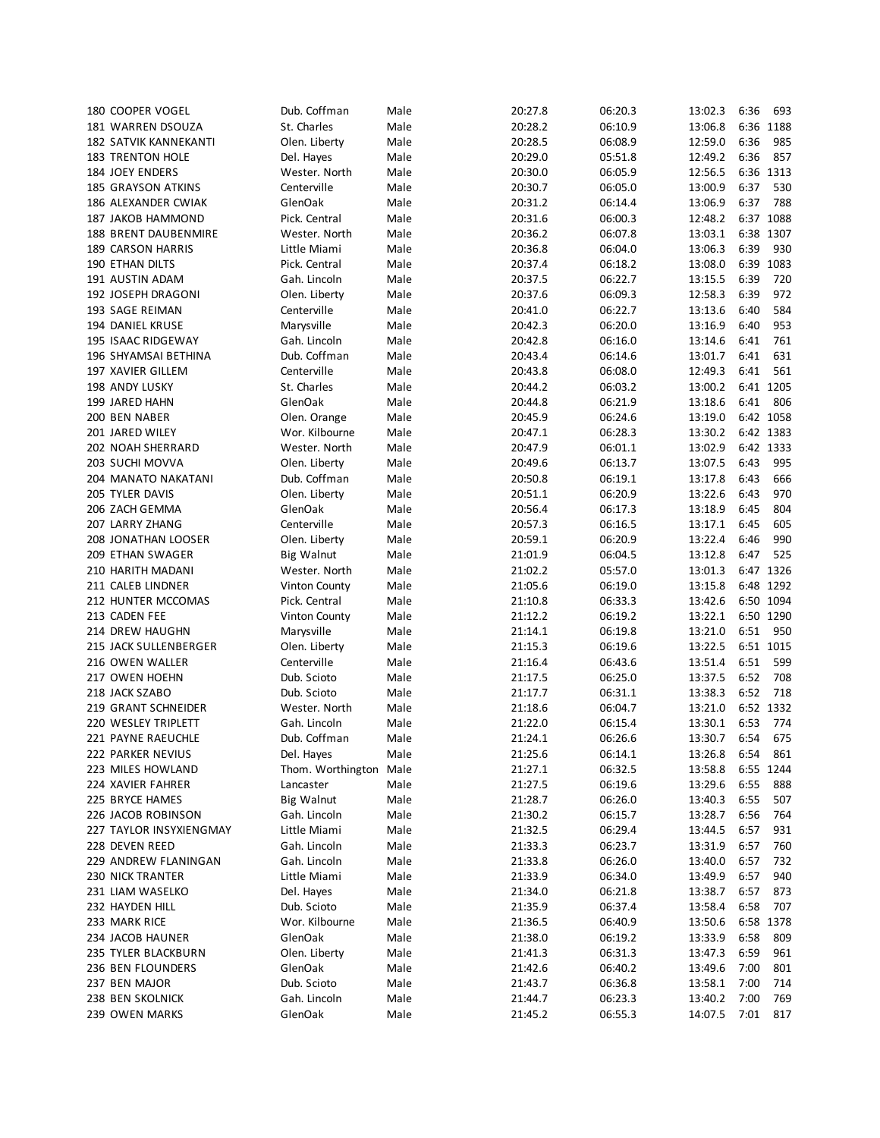| 180 COOPER VOGEL             | Dub. Coffman      | Male | 20:27.8 | 06:20.3 | 13:02.3 | 6:36 | 693       |
|------------------------------|-------------------|------|---------|---------|---------|------|-----------|
| 181 WARREN DSOUZA            | St. Charles       | Male | 20:28.2 | 06:10.9 | 13:06.8 |      | 6:36 1188 |
| <b>182 SATVIK KANNEKANTI</b> | Olen. Liberty     | Male | 20:28.5 | 06:08.9 | 12:59.0 | 6:36 | 985       |
| <b>183 TRENTON HOLE</b>      | Del. Hayes        | Male | 20:29.0 | 05:51.8 | 12:49.2 | 6:36 | 857       |
|                              |                   |      |         |         |         |      |           |
| 184 JOEY ENDERS              | Wester. North     | Male | 20:30.0 | 06:05.9 | 12:56.5 |      | 6:36 1313 |
| <b>185 GRAYSON ATKINS</b>    | Centerville       | Male | 20:30.7 | 06:05.0 | 13:00.9 | 6:37 | 530       |
| 186 ALEXANDER CWIAK          | GlenOak           | Male | 20:31.2 | 06:14.4 | 13:06.9 | 6:37 | 788       |
| 187 JAKOB HAMMOND            | Pick. Central     | Male | 20:31.6 | 06:00.3 | 12:48.2 |      | 6:37 1088 |
| 188 BRENT DAUBENMIRE         | Wester. North     | Male | 20:36.2 | 06:07.8 | 13:03.1 |      | 6:38 1307 |
| 189 CARSON HARRIS            | Little Miami      | Male | 20:36.8 | 06:04.0 | 13:06.3 | 6:39 | 930       |
| <b>190 ETHAN DILTS</b>       | Pick. Central     | Male | 20:37.4 | 06:18.2 | 13:08.0 | 6:39 | 1083      |
| 191 AUSTIN ADAM              | Gah. Lincoln      | Male | 20:37.5 | 06:22.7 | 13:15.5 | 6:39 | 720       |
| 192 JOSEPH DRAGONI           | Olen. Liberty     | Male | 20:37.6 | 06:09.3 | 12:58.3 | 6:39 | 972       |
| 193 SAGE REIMAN              | Centerville       | Male | 20:41.0 | 06:22.7 | 13:13.6 | 6:40 | 584       |
|                              |                   |      |         |         |         |      | 953       |
| 194 DANIEL KRUSE             | Marysville        | Male | 20:42.3 | 06:20.0 | 13:16.9 | 6:40 |           |
| 195 ISAAC RIDGEWAY           | Gah. Lincoln      | Male | 20:42.8 | 06:16.0 | 13:14.6 | 6:41 | 761       |
| 196 SHYAMSAI BETHINA         | Dub. Coffman      | Male | 20:43.4 | 06:14.6 | 13:01.7 | 6:41 | 631       |
| 197 XAVIER GILLEM            | Centerville       | Male | 20:43.8 | 06:08.0 | 12:49.3 | 6:41 | 561       |
| 198 ANDY LUSKY               | St. Charles       | Male | 20:44.2 | 06:03.2 | 13:00.2 |      | 6:41 1205 |
| 199 JARED HAHN               | GlenOak           | Male | 20:44.8 | 06:21.9 | 13:18.6 | 6:41 | 806       |
| 200 BEN NABER                | Olen. Orange      | Male | 20:45.9 | 06:24.6 | 13:19.0 |      | 6:42 1058 |
| 201 JARED WILEY              | Wor. Kilbourne    | Male | 20:47.1 | 06:28.3 | 13:30.2 |      | 6:42 1383 |
| <b>202 NOAH SHERRARD</b>     | Wester. North     | Male | 20:47.9 | 06:01.1 | 13:02.9 |      | 6:42 1333 |
| 203 SUCHI MOVVA              | Olen. Liberty     | Male | 20:49.6 | 06:13.7 | 13:07.5 | 6:43 | 995       |
|                              | Dub. Coffman      | Male | 20:50.8 | 06:19.1 | 13:17.8 | 6:43 | 666       |
| 204 MANATO NAKATANI          |                   |      |         |         |         |      |           |
| 205 TYLER DAVIS              | Olen. Liberty     | Male | 20:51.1 | 06:20.9 | 13:22.6 | 6:43 | 970       |
| 206 ZACH GEMMA               | GlenOak           | Male | 20:56.4 | 06:17.3 | 13:18.9 | 6:45 | 804       |
| 207 LARRY ZHANG              | Centerville       | Male | 20:57.3 | 06:16.5 | 13:17.1 | 6:45 | 605       |
| 208 JONATHAN LOOSER          | Olen. Liberty     | Male | 20:59.1 | 06:20.9 | 13:22.4 | 6:46 | 990       |
| 209 ETHAN SWAGER             | <b>Big Walnut</b> | Male | 21:01.9 | 06:04.5 | 13:12.8 | 6:47 | 525       |
| 210 HARITH MADANI            | Wester. North     | Male | 21:02.2 | 05:57.0 | 13:01.3 |      | 6:47 1326 |
| 211 CALEB LINDNER            | Vinton County     | Male | 21:05.6 | 06:19.0 | 13:15.8 |      | 6:48 1292 |
| 212 HUNTER MCCOMAS           | Pick. Central     | Male | 21:10.8 | 06:33.3 | 13:42.6 |      | 6:50 1094 |
| 213 CADEN FEE                | Vinton County     | Male | 21:12.2 | 06:19.2 | 13:22.1 |      | 6:50 1290 |
| 214 DREW HAUGHN              | Marysville        | Male | 21:14.1 | 06:19.8 | 13:21.0 | 6:51 | 950       |
|                              |                   |      |         |         |         |      |           |
| 215 JACK SULLENBERGER        | Olen. Liberty     | Male | 21:15.3 | 06:19.6 | 13:22.5 |      | 6:51 1015 |
| 216 OWEN WALLER              | Centerville       | Male | 21:16.4 | 06:43.6 | 13:51.4 | 6:51 | 599       |
| 217 OWEN HOEHN               | Dub. Scioto       | Male | 21:17.5 | 06:25.0 | 13:37.5 | 6:52 | 708       |
| 218 JACK SZABO               | Dub. Scioto       | Male | 21:17.7 | 06:31.1 | 13:38.3 | 6:52 | 718       |
| 219 GRANT SCHNEIDER          | Wester. North     | Male | 21:18.6 | 06:04.7 | 13:21.0 |      | 6:52 1332 |
| 220 WESLEY TRIPLETT          | Gah. Lincoln      | Male | 21:22.0 | 06:15.4 | 13:30.1 | 6:53 | 774       |
| 221 PAYNE RAEUCHLE           | Dub. Coffman      | Male | 21:24.1 | 06:26.6 | 13:30.7 | 6:54 | 675       |
| 222 PARKER NEVIUS            | Del. Hayes        | Male | 21:25.6 | 06:14.1 | 13:26.8 | 6:54 | 861       |
| 223 MILES HOWLAND            | Thom. Worthington | Male | 21:27.1 | 06:32.5 | 13:58.8 |      | 6:55 1244 |
| 224 XAVIER FAHRER            | Lancaster         | Male | 21:27.5 | 06:19.6 | 13:29.6 | 6:55 | 888       |
| 225 BRYCE HAMES              | <b>Big Walnut</b> | Male | 21:28.7 | 06:26.0 | 13:40.3 | 6:55 | 507       |
|                              |                   |      |         |         |         |      |           |
| 226 JACOB ROBINSON           | Gah. Lincoln      | Male | 21:30.2 | 06:15.7 | 13:28.7 | 6:56 | 764       |
| 227 TAYLOR INSYXIENGMAY      | Little Miami      | Male | 21:32.5 | 06:29.4 | 13:44.5 | 6:57 | 931       |
| 228 DEVEN REED               | Gah. Lincoln      | Male | 21:33.3 | 06:23.7 | 13:31.9 | 6:57 | 760       |
| 229 ANDREW FLANINGAN         | Gah. Lincoln      | Male | 21:33.8 | 06:26.0 | 13:40.0 | 6:57 | 732       |
| <b>230 NICK TRANTER</b>      | Little Miami      | Male | 21:33.9 | 06:34.0 | 13:49.9 | 6:57 | 940       |
| 231 LIAM WASELKO             | Del. Hayes        | Male | 21:34.0 | 06:21.8 | 13:38.7 | 6:57 | 873       |
| 232 HAYDEN HILL              | Dub. Scioto       | Male | 21:35.9 | 06:37.4 | 13:58.4 | 6:58 | 707       |
| 233 MARK RICE                | Wor. Kilbourne    | Male | 21:36.5 | 06:40.9 | 13:50.6 |      | 6:58 1378 |
| 234 JACOB HAUNER             | GlenOak           | Male | 21:38.0 | 06:19.2 | 13:33.9 | 6:58 | 809       |
| 235 TYLER BLACKBURN          | Olen. Liberty     | Male | 21:41.3 | 06:31.3 | 13:47.3 | 6:59 | 961       |
| 236 BEN FLOUNDERS            | GlenOak           | Male | 21:42.6 | 06:40.2 | 13:49.6 | 7:00 | 801       |
|                              |                   |      |         |         |         |      |           |
| 237 BEN MAJOR                | Dub. Scioto       | Male | 21:43.7 | 06:36.8 | 13:58.1 | 7:00 | 714       |
| 238 BEN SKOLNICK             | Gah. Lincoln      | Male | 21:44.7 | 06:23.3 | 13:40.2 | 7:00 | 769       |
| 239 OWEN MARKS               | GlenOak           | Male | 21:45.2 | 06:55.3 | 14:07.5 | 7:01 | 817       |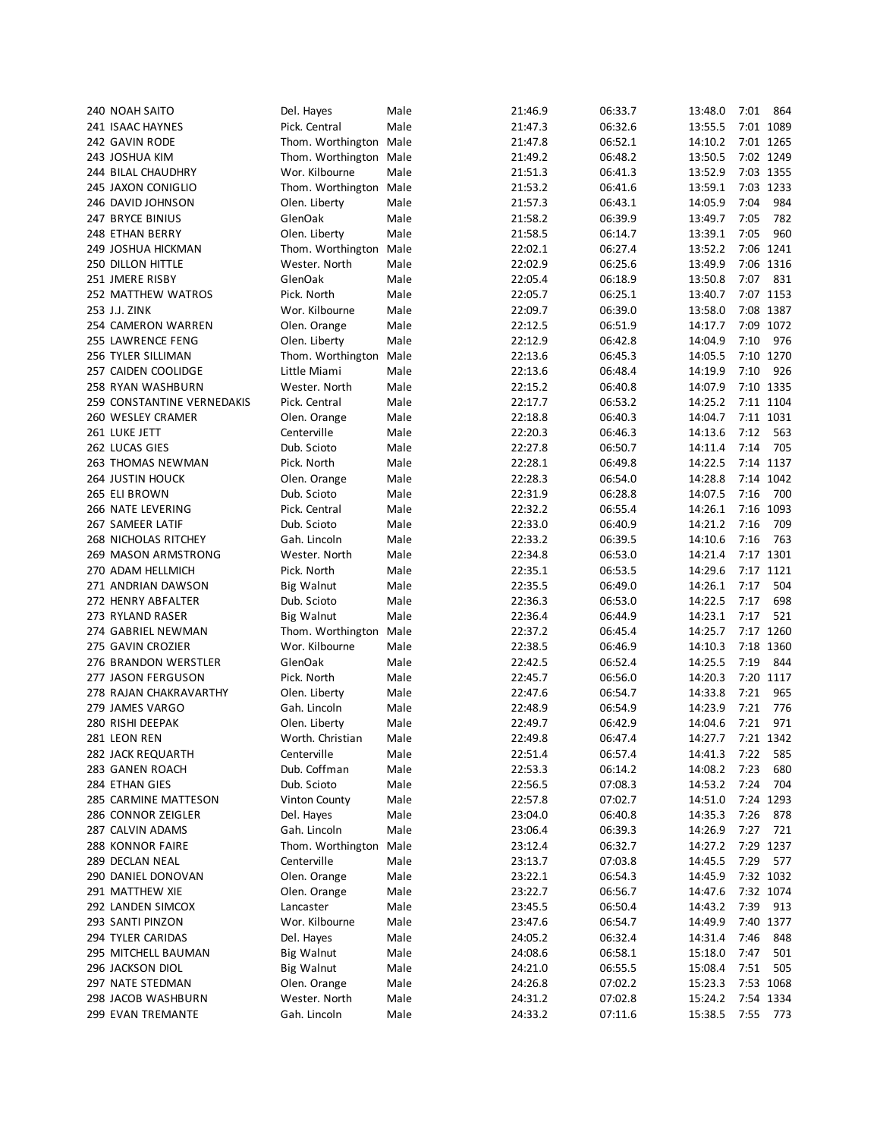| 240 NOAH SAITO             | Del. Hayes             | Male | 21:46.9 | 06:33.7 | 13:48.0 | 7:01 | 864       |
|----------------------------|------------------------|------|---------|---------|---------|------|-----------|
| 241 ISAAC HAYNES           | Pick. Central          | Male | 21:47.3 | 06:32.6 | 13:55.5 |      | 7:01 1089 |
| 242 GAVIN RODE             | Thom. Worthington Male |      | 21:47.8 | 06:52.1 | 14:10.2 |      | 7:01 1265 |
| 243 JOSHUA KIM             | Thom. Worthington Male |      | 21:49.2 | 06:48.2 | 13:50.5 |      | 7:02 1249 |
| 244 BILAL CHAUDHRY         | Wor. Kilbourne         | Male | 21:51.3 | 06:41.3 | 13:52.9 |      | 7:03 1355 |
| 245 JAXON CONIGLIO         | Thom. Worthington Male |      | 21:53.2 | 06:41.6 | 13:59.1 |      | 7:03 1233 |
| 246 DAVID JOHNSON          |                        | Male |         | 06:43.1 | 14:05.9 | 7:04 | 984       |
|                            | Olen. Liberty          |      | 21:57.3 |         |         |      |           |
| 247 BRYCE BINIUS           | GlenOak                | Male | 21:58.2 | 06:39.9 | 13:49.7 | 7:05 | 782       |
| 248 ETHAN BERRY            | Olen. Liberty          | Male | 21:58.5 | 06:14.7 | 13:39.1 | 7:05 | 960       |
| 249 JOSHUA HICKMAN         | Thom. Worthington Male |      | 22:02.1 | 06:27.4 | 13:52.2 |      | 7:06 1241 |
| 250 DILLON HITTLE          | Wester. North          | Male | 22:02.9 | 06:25.6 | 13:49.9 |      | 7:06 1316 |
| 251 JMERE RISBY            | GlenOak                | Male | 22:05.4 | 06:18.9 | 13:50.8 | 7:07 | 831       |
| 252 MATTHEW WATROS         | Pick. North            | Male | 22:05.7 | 06:25.1 | 13:40.7 |      | 7:07 1153 |
| 253 J.J. ZINK              | Wor. Kilbourne         | Male | 22:09.7 | 06:39.0 | 13:58.0 |      | 7:08 1387 |
| 254 CAMERON WARREN         | Olen. Orange           | Male | 22:12.5 | 06:51.9 | 14:17.7 | 7:09 | 1072      |
| 255 LAWRENCE FENG          | Olen. Liberty          | Male | 22:12.9 | 06:42.8 | 14:04.9 | 7:10 | 976       |
| 256 TYLER SILLIMAN         | Thom. Worthington      | Male | 22:13.6 | 06:45.3 | 14:05.5 |      | 7:10 1270 |
| 257 CAIDEN COOLIDGE        | Little Miami           | Male | 22:13.6 | 06:48.4 | 14:19.9 | 7:10 | 926       |
| 258 RYAN WASHBURN          | Wester. North          | Male | 22:15.2 | 06:40.8 | 14:07.9 |      | 7:10 1335 |
| 259 CONSTANTINE VERNEDAKIS |                        | Male | 22:17.7 | 06:53.2 | 14:25.2 |      | 7:11 1104 |
|                            | Pick. Central          |      |         |         |         |      |           |
| 260 WESLEY CRAMER          | Olen. Orange           | Male | 22:18.8 | 06:40.3 | 14:04.7 |      | 7:11 1031 |
| 261 LUKE JETT              | Centerville            | Male | 22:20.3 | 06:46.3 | 14:13.6 | 7:12 | 563       |
| 262 LUCAS GIES             | Dub. Scioto            | Male | 22:27.8 | 06:50.7 | 14:11.4 | 7:14 | 705       |
| 263 THOMAS NEWMAN          | Pick. North            | Male | 22:28.1 | 06:49.8 | 14:22.5 |      | 7:14 1137 |
| <b>264 JUSTIN HOUCK</b>    | Olen. Orange           | Male | 22:28.3 | 06:54.0 | 14:28.8 |      | 7:14 1042 |
| 265 ELI BROWN              | Dub. Scioto            | Male | 22:31.9 | 06:28.8 | 14:07.5 | 7:16 | 700       |
| 266 NATE LEVERING          | Pick. Central          | Male | 22:32.2 | 06:55.4 | 14:26.1 |      | 7:16 1093 |
| 267 SAMEER LATIF           | Dub. Scioto            | Male | 22:33.0 | 06:40.9 | 14:21.2 | 7:16 | 709       |
| 268 NICHOLAS RITCHEY       | Gah. Lincoln           | Male | 22:33.2 | 06:39.5 | 14:10.6 | 7:16 | 763       |
| 269 MASON ARMSTRONG        | Wester. North          | Male | 22:34.8 | 06:53.0 | 14:21.4 |      | 7:17 1301 |
| 270 ADAM HELLMICH          | Pick. North            | Male | 22:35.1 | 06:53.5 | 14:29.6 |      | 7:17 1121 |
| 271 ANDRIAN DAWSON         | Big Walnut             | Male | 22:35.5 | 06:49.0 | 14:26.1 | 7:17 | 504       |
| 272 HENRY ABFALTER         | Dub. Scioto            | Male | 22:36.3 | 06:53.0 | 14:22.5 | 7:17 | 698       |
| 273 RYLAND RASER           | <b>Big Walnut</b>      | Male | 22:36.4 | 06:44.9 | 14:23.1 | 7:17 | 521       |
|                            |                        | Male | 22:37.2 |         | 14:25.7 |      | 7:17 1260 |
| 274 GABRIEL NEWMAN         | Thom. Worthington      |      |         | 06:45.4 |         |      |           |
| 275 GAVIN CROZIER          | Wor. Kilbourne         | Male | 22:38.5 | 06:46.9 | 14:10.3 |      | 7:18 1360 |
| 276 BRANDON WERSTLER       | GlenOak                | Male | 22:42.5 | 06:52.4 | 14:25.5 | 7:19 | 844       |
| 277 JASON FERGUSON         | Pick. North            | Male | 22:45.7 | 06:56.0 | 14:20.3 |      | 7:20 1117 |
| 278 RAJAN CHAKRAVARTHY     | Olen. Liberty          | Male | 22:47.6 | 06:54.7 | 14:33.8 | 7:21 | 965       |
| 279 JAMES VARGO            | Gah. Lincoln           | Male | 22:48.9 | 06:54.9 | 14:23.9 | 7:21 | 776       |
| 280 RISHI DEEPAK           | Olen. Liberty          | Male | 22:49.7 | 06:42.9 | 14:04.6 | 7:21 | 971       |
| 281 LEON REN               | Worth. Christian       | Male | 22:49.8 | 06:47.4 | 14:27.7 |      | 7:21 1342 |
| 282 JACK REQUARTH          | Centerville            | Male | 22:51.4 | 06:57.4 | 14:41.3 | 7:22 | 585       |
| 283 GANEN ROACH            | Dub. Coffman           | Male | 22:53.3 | 06:14.2 | 14:08.2 | 7:23 | 680       |
| 284 ETHAN GIES             | Dub. Scioto            | Male | 22:56.5 | 07:08.3 | 14:53.2 | 7:24 | 704       |
| 285 CARMINE MATTESON       | <b>Vinton County</b>   | Male | 22:57.8 | 07:02.7 | 14:51.0 |      | 7:24 1293 |
| 286 CONNOR ZEIGLER         | Del. Hayes             | Male | 23:04.0 | 06:40.8 | 14:35.3 | 7:26 | 878       |
| 287 CALVIN ADAMS           | Gah. Lincoln           | Male | 23:06.4 | 06:39.3 | 14:26.9 | 7:27 | 721       |
| 288 KONNOR FAIRE           | Thom. Worthington      | Male | 23:12.4 | 06:32.7 | 14:27.2 |      | 7:29 1237 |
|                            |                        |      |         |         |         |      |           |
| 289 DECLAN NEAL            | Centerville            | Male | 23:13.7 | 07:03.8 | 14:45.5 | 7:29 | 577       |
| 290 DANIEL DONOVAN         | Olen. Orange           | Male | 23:22.1 | 06:54.3 | 14:45.9 |      | 7:32 1032 |
| 291 MATTHEW XIE            | Olen. Orange           | Male | 23:22.7 | 06:56.7 | 14:47.6 |      | 7:32 1074 |
| 292 LANDEN SIMCOX          | Lancaster              | Male | 23:45.5 | 06:50.4 | 14:43.2 | 7:39 | 913       |
| 293 SANTI PINZON           | Wor. Kilbourne         | Male | 23:47.6 | 06:54.7 | 14:49.9 |      | 7:40 1377 |
| 294 TYLER CARIDAS          | Del. Hayes             | Male | 24:05.2 | 06:32.4 | 14:31.4 | 7:46 | 848       |
| 295 MITCHELL BAUMAN        | <b>Big Walnut</b>      | Male | 24:08.6 | 06:58.1 | 15:18.0 | 7:47 | 501       |
| 296 JACKSON DIOL           | <b>Big Walnut</b>      | Male | 24:21.0 | 06:55.5 | 15:08.4 | 7:51 | 505       |
| 297 NATE STEDMAN           | Olen. Orange           | Male | 24:26.8 | 07:02.2 | 15:23.3 |      | 7:53 1068 |
| 298 JACOB WASHBURN         | Wester. North          | Male | 24:31.2 | 07:02.8 | 15:24.2 |      | 7:54 1334 |
| 299 EVAN TREMANTE          | Gah. Lincoln           | Male | 24:33.2 | 07:11.6 | 15:38.5 | 7:55 | 773       |